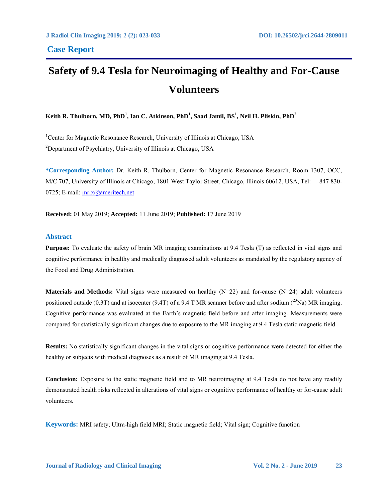# **Safety of 9.4 Tesla for Neuroimaging of Healthy and For-Cause Volunteers**

**Keith R. Thulborn, MD, PhD<sup>1</sup> , Ian C. Atkinson, PhD<sup>1</sup> , Saad Jamil, BS<sup>1</sup> , Neil H. Pliskin, PhD<sup>2</sup>**

<sup>1</sup>Center for Magnetic Resonance Research, University of Illinois at Chicago, USA <sup>2</sup>Department of Psychiatry, University of Illinois at Chicago, USA

**\*Corresponding Author:** Dr. Keith R. Thulborn, Center for Magnetic Resonance Research, Room 1307, OCC, M/C 707, University of Illinois at Chicago, 1801 West Taylor Street, Chicago, Illinois 60612, USA, Tel: 847 830- 0725; E-mail: [mrix@ameritech.net](mailto:mrix@ameritech.net)

**Received:** 01 May 2019; **Accepted:** 11 June 2019; **Published:** 17 June 2019

# **Abstract**

**Purpose:** To evaluate the safety of brain MR imaging examinations at 9.4 Tesla (T) as reflected in vital signs and cognitive performance in healthy and medically diagnosed adult volunteers as mandated by the regulatory agency of the Food and Drug Administration.

**Materials and Methods:** Vital signs were measured on healthy (N=22) and for-cause (N=24) adult volunteers positioned outside (0.3T) and at isocenter (9.4T) of a 9.4 T MR scanner before and after sodium ( $^{23}$ Na) MR imaging. Cognitive performance was evaluated at the Earth's magnetic field before and after imaging. Measurements were compared for statistically significant changes due to exposure to the MR imaging at 9.4 Tesla static magnetic field.

**Results:** No statistically significant changes in the vital signs or cognitive performance were detected for either the healthy or subjects with medical diagnoses as a result of MR imaging at 9.4 Tesla.

**Conclusion:** Exposure to the static magnetic field and to MR neuroimaging at 9.4 Tesla do not have any readily demonstrated health risks reflected in alterations of vital signs or cognitive performance of healthy or for-cause adult volunteers.

**Keywords:** MRI safety; Ultra-high field MRI; Static magnetic field; Vital sign; Cognitive function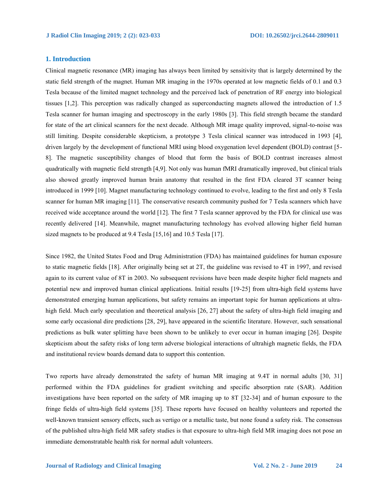# **1. Introduction**

Clinical magnetic resonance (MR) imaging has always been limited by sensitivity that is largely determined by the static field strength of the magnet. Human MR imaging in the 1970s operated at low magnetic fields of 0.1 and 0.3 Tesla because of the limited magnet technology and the perceived lack of penetration of RF energy into biological tissues [1,2]. This perception was radically changed as superconducting magnets allowed the introduction of 1.5 Tesla scanner for human imaging and spectroscopy in the early 1980s [3]. This field strength became the standard for state of the art clinical scanners for the next decade. Although MR image quality improved, signal-to-noise was still limiting. Despite considerable skepticism, a prototype 3 Tesla clinical scanner was introduced in 1993 [4], driven largely by the development of functional MRI using blood oxygenation level dependent (BOLD) contrast [5- 8]. The magnetic susceptibility changes of blood that form the basis of BOLD contrast increases almost quadratically with magnetic field strength [4,9]. Not only was human fMRI dramatically improved, but clinical trials also showed greatly improved human brain anatomy that resulted in the first FDA cleared 3T scanner being introduced in 1999 [10]. Magnet manufacturing technology continued to evolve, leading to the first and only 8 Tesla scanner for human MR imaging [11]. The conservative research community pushed for 7 Tesla scanners which have received wide acceptance around the world [12]. The first 7 Tesla scanner approved by the FDA for clinical use was recently delivered [14]. Meanwhile, magnet manufacturing technology has evolved allowing higher field human sized magnets to be produced at 9.4 Tesla [15,16] and 10.5 Tesla [17].

Since 1982, the United States Food and Drug Administration (FDA) has maintained guidelines for human exposure to static magnetic fields [18]. After originally being set at 2T, the guideline was revised to 4T in 1997, and revised again to its current value of 8T in 2003. No subsequent revisions have been made despite higher field magnets and potential new and improved human clinical applications. Initial results [19-25] from ultra-high field systems have demonstrated emerging human applications, but safety remains an important topic for human applications at ultrahigh field. Much early speculation and theoretical analysis [26, 27] about the safety of ultra-high field imaging and some early occasional dire predictions [28, 29], have appeared in the scientific literature. However, such sensational predictions as bulk water splitting have been shown to be unlikely to ever occur in human imaging [26]. Despite skepticism about the safety risks of long term adverse biological interactions of ultrahigh magnetic fields, the FDA and institutional review boards demand data to support this contention.

Two reports have already demonstrated the safety of human MR imaging at 9.4T in normal adults [30, 31] performed within the FDA guidelines for gradient switching and specific absorption rate (SAR). Addition investigations have been reported on the safety of MR imaging up to 8T [32-34] and of human exposure to the fringe fields of ultra-high field systems [35]. These reports have focused on healthy volunteers and reported the well-known transient sensory effects, such as vertigo or a metallic taste, but none found a safety risk. The consensus of the published ultra-high field MR safety studies is that exposure to ultra-high field MR imaging does not pose an immediate demonstratable health risk for normal adult volunteers.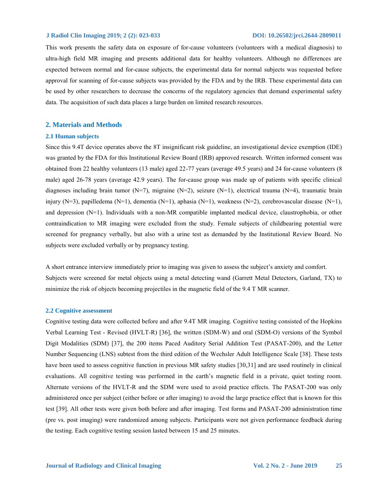This work presents the safety data on exposure of for-cause volunteers (volunteers with a medical diagnosis) to ultra-high field MR imaging and presents additional data for healthy volunteers. Although no differences are expected between normal and for-cause subjects, the experimental data for normal subjects was requested before approval for scanning of for-cause subjects was provided by the FDA and by the IRB. These experimental data can be used by other researchers to decrease the concerns of the regulatory agencies that demand experimental safety data. The acquisition of such data places a large burden on limited research resources.

# **2. Materials and Methods**

#### **2.1 Human subjects**

Since this 9.4T device operates above the 8T insignificant risk guideline, an investigational device exemption (IDE) was granted by the FDA for this Institutional Review Board (IRB) approved research. Written informed consent was obtained from 22 healthy volunteers (13 male) aged 22-77 years (average 49.5 years) and 24 for-cause volunteers (8 male) aged 26-78 years (average 42.9 years). The for-cause group was made up of patients with specific clinical diagnoses including brain tumor (N=7), migraine (N=2), seizure (N=1), electrical trauma (N=4), traumatic brain injury (N=3), papilledema (N=1), dementia (N=1), aphasia (N=1), weakness (N=2), cerebrovascular disease (N=1), and depression (N=1). Individuals with a non-MR compatible implanted medical device, claustrophobia, or other contraindication to MR imaging were excluded from the study. Female subjects of childbearing potential were screened for pregnancy verbally, but also with a urine test as demanded by the Institutional Review Board. No subjects were excluded verbally or by pregnancy testing.

A short entrance interview immediately prior to imaging was given to assess the subject's anxiety and comfort. Subjects were screened for metal objects using a metal detecting wand (Garrett Metal Detectors, Garland, TX) to minimize the risk of objects becoming projectiles in the magnetic field of the 9.4 T MR scanner.

#### **2.2 Cognitive assessment**

Cognitive testing data were collected before and after 9.4T MR imaging. Cognitive testing consisted of the Hopkins Verbal Learning Test - Revised (HVLT-R) [36], the written (SDM-W) and oral (SDM-O) versions of the Symbol Digit Modalities (SDM) [37], the 200 items Paced Auditory Serial Addition Test (PASAT-200), and the Letter Number Sequencing (LNS) subtest from the third edition of the Wechsler Adult Intelligence Scale [38]. These tests have been used to assess cognitive function in previous MR safety studies [30,31] and are used routinely in clinical evaluations. All cognitive testing was performed in the earth's magnetic field in a private, quiet testing room. Alternate versions of the HVLT-R and the SDM were used to avoid practice effects. The PASAT-200 was only administered once per subject (either before or after imaging) to avoid the large practice effect that is known for this test [39]. All other tests were given both before and after imaging. Test forms and PASAT-200 administration time (pre vs. post imaging) were randomized among subjects. Participants were not given performance feedback during the testing. Each cognitive testing session lasted between 15 and 25 minutes.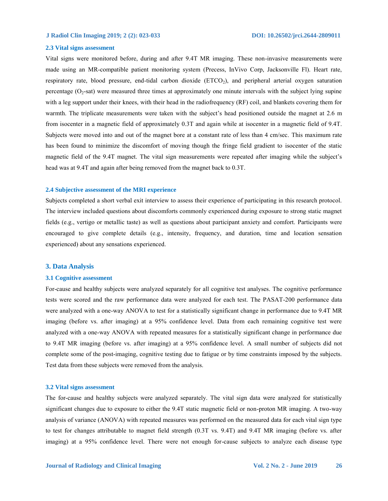#### **2.3 Vital signs assessment**

Vital signs were monitored before, during and after 9.4T MR imaging. These non-invasive measurements were made using an MR-compatible patient monitoring system (Precess, InVivo Corp, Jacksonville Fl). Heart rate, respiratory rate, blood pressure, end-tidal carbon dioxide (ETCO<sub>2</sub>), and peripheral arterial oxygen saturation percentage  $(O_2$ -sat) were measured three times at approximately one minute intervals with the subject lying supine with a leg support under their knees, with their head in the radiofrequency (RF) coil, and blankets covering them for warmth. The triplicate measurements were taken with the subject's head positioned outside the magnet at 2.6 m from isocenter in a magnetic field of approximately 0.3T and again while at isocenter in a magnetic field of 9.4T. Subjects were moved into and out of the magnet bore at a constant rate of less than 4 cm/sec. This maximum rate has been found to minimize the discomfort of moving though the fringe field gradient to isocenter of the static magnetic field of the 9.4T magnet. The vital sign measurements were repeated after imaging while the subject's head was at 9.4T and again after being removed from the magnet back to 0.3T.

#### **2.4 Subjective assessment of the MRI experience**

Subjects completed a short verbal exit interview to assess their experience of participating in this research protocol. The interview included questions about discomforts commonly experienced during exposure to strong static magnet fields (e.g., vertigo or metallic taste) as well as questions about participant anxiety and comfort. Participants were encouraged to give complete details (e.g., intensity, frequency, and duration, time and location sensation experienced) about any sensations experienced.

#### **3. Data Analysis**

#### **3.1 Cognitive assessment**

For-cause and healthy subjects were analyzed separately for all cognitive test analyses. The cognitive performance tests were scored and the raw performance data were analyzed for each test. The PASAT-200 performance data were analyzed with a one-way ANOVA to test for a statistically significant change in performance due to 9.4T MR imaging (before vs. after imaging) at a 95% confidence level. Data from each remaining cognitive test were analyzed with a one-way ANOVA with repeated measures for a statistically significant change in performance due to 9.4T MR imaging (before vs. after imaging) at a 95% confidence level. A small number of subjects did not complete some of the post-imaging, cognitive testing due to fatigue or by time constraints imposed by the subjects. Test data from these subjects were removed from the analysis.

#### **3.2 Vital signs assessment**

The for-cause and healthy subjects were analyzed separately. The vital sign data were analyzed for statistically significant changes due to exposure to either the 9.4T static magnetic field or non-proton MR imaging. A two-way analysis of variance (ANOVA) with repeated measures was performed on the measured data for each vital sign type to test for changes attributable to magnet field strength (0.3T vs. 9.4T) and 9.4T MR imaging (before vs. after imaging) at a 95% confidence level. There were not enough for-cause subjects to analyze each disease type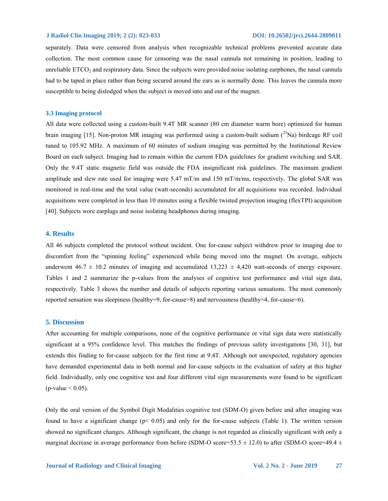separately. Data were censored from analysis when recognizable technical problems prevented accurate data collection. The most common cause for censoring was the nasal cannula not remaining in position, leading to unreliable ETCO<sub>2</sub> and respiratory data. Since the subjects were provided noise isolating earphones, the nasal cannula had to be taped in place rather than being secured around the ears as is normally done. This leaves the cannula more susceptible to being dislodged when the subject is moved into and out of the magnet.

### **3.3 Imaging protocol**

All data were collected using a custom-built 9.4T MR scanner (80 cm diameter warm bore) optimized for human brain imaging [15]. Non-proton MR imaging was performed using a custom-built sodium  $(^{23}$ Na) birdcage RF coil tuned to 105.92 MHz. A maximum of 60 minutes of sodium imaging was permitted by the Institutional Review Board on each subject. Imaging had to remain within the current FDA guidelines for gradient switching and SAR. Only the 9.4T static magnetic field was outside the FDA insignificant risk guidelines. The maximum gradient amplitude and slew rate used for imaging were 5.47 mT/m and 150 mT/m/ms, respectively. The global SAR was monitored in real-time and the total value (watt-seconds) accumulated for all acquisitions was recorded. Individual acquisitions were completed in less than 10 minutes using a flexible twisted projection imaging (flexTPI) acquisition [40]. Subjects wore earplugs and noise isolating headphones during imaging.

# **4. Results**

All 46 subjects completed the protocol without incident. One for-cause subject withdrew prior to imaging due to discomfort from the "spinning feeling" experienced while being moved into the magnet. On average, subjects underwent  $46.7 \pm 10.2$  minutes of imaging and accumulated  $13.223 \pm 4.420$  watt-seconds of energy exposure. Tables 1 and 2 summarize the p-values from the analyses of cognitive test performance and vital sign data, respectively. Table 3 shows the number and details of subjects reporting various sensations. The most commonly reported sensation was sleepiness (healthy=9, for-cause=8) and nervousness (healthy=4, for-cause=6).

#### **5. Discussion**

After accounting for multiple comparisons, none of the cognitive performance or vital sign data were statistically significant at a 95% confidence level. This matches the findings of previous safety investigations [30, 31], but extends this finding to for-cause subjects for the first time at 9.4T. Although not unexpected, regulatory agencies have demanded experimental data in both normal and for-cause subjects in the evaluation of safety at this higher field. Individually, only one cognitive test and four different vital sign measurements were found to be significant  $(p$ -value  $< 0.05$ ).

Only the oral version of the Symbol Digit Modalities cognitive test (SDM-O) given before and after imaging was found to have a significant change (p< 0.05) and only for the for-cause subjects (Table 1). The written version showed no significant changes. Although significant, the change is not regarded as clinically significant with only a marginal decrease in average performance from before (SDM-O score=53.5  $\pm$  12.0) to after (SDM-O score=49.4  $\pm$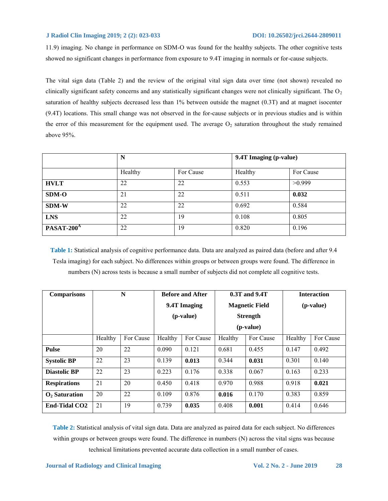11.9) imaging. No change in performance on SDM-O was found for the healthy subjects. The other cognitive tests showed no significant changes in performance from exposure to 9.4T imaging in normals or for-cause subjects.

The vital sign data (Table 2) and the review of the original vital sign data over time (not shown) revealed no clinically significant safety concerns and any statistically significant changes were not clinically significant. The  $O<sub>2</sub>$ saturation of healthy subjects decreased less than 1% between outside the magnet (0.3T) and at magnet isocenter (9.4T) locations. This small change was not observed in the for-cause subjects or in previous studies and is within the error of this measurement for the equipment used. The average  $O_2$  saturation throughout the study remained above 95%.

|              | N       |           | 9.4T Imaging (p-value) |           |  |
|--------------|---------|-----------|------------------------|-----------|--|
|              | Healthy | For Cause | Healthy                | For Cause |  |
| <b>HVLT</b>  | 22      | 22        | 0.553                  | >0.999    |  |
| <b>SDM-O</b> | 21      | 22        | 0.511                  | 0.032     |  |
| <b>SDM-W</b> | 22      | 22        | 0.692                  | 0.584     |  |
| <b>LNS</b>   | 22      | 19        | 0.108                  | 0.805     |  |
| $PASAT-200A$ | 22      | 19        | 0.820                  | 0.196     |  |

**Table 1:** Statistical analysis of cognitive performance data. Data are analyzed as paired data (before and after 9.4 Tesla imaging) for each subject. No differences within groups or between groups were found. The difference in numbers (N) across tests is because a small number of subjects did not complete all cognitive tests.

| <b>Comparisons</b>        | N       |           | <b>Before and After</b> |           | 0.3T and 9.4T                         |           | <b>Interaction</b> |           |
|---------------------------|---------|-----------|-------------------------|-----------|---------------------------------------|-----------|--------------------|-----------|
|                           |         |           | 9.4T Imaging            |           | <b>Magnetic Field</b>                 |           | (p-value)          |           |
|                           |         |           | ( <i>p</i> -value)      |           | <b>Strength</b><br>( <i>p</i> -value) |           |                    |           |
|                           |         |           |                         |           |                                       |           |                    |           |
|                           | Healthy | For Cause | Healthy                 | For Cause | Healthy                               | For Cause | Healthy            | For Cause |
| <b>Pulse</b>              | 20      | 22        | 0.090                   | 0.121     | 0.681                                 | 0.455     | 0.147              | 0.492     |
| <b>Systolic BP</b>        | 22      | 23        | 0.139                   | 0.013     | 0.344                                 | 0.031     | 0.301              | 0.140     |
| <b>Diastolic BP</b>       | 22      | 23        | 0.223                   | 0.176     | 0.338                                 | 0.067     | 0.163              | 0.233     |
| <b>Respirations</b>       | 21      | 20        | 0.450                   | 0.418     | 0.970                                 | 0.988     | 0.918              | 0.021     |
| $\mathbf{O}_2$ Saturation | 20      | 22        | 0.109                   | 0.876     | 0.016                                 | 0.170     | 0.383              | 0.859     |
| <b>End-Tidal CO2</b>      | 21      | 19        | 0.739                   | 0.035     | 0.408                                 | 0.001     | 0.414              | 0.646     |

**Table 2:** Statistical analysis of vital sign data. Data are analyzed as paired data for each subject. No differences within groups or between groups were found. The difference in numbers (N) across the vital signs was because technical limitations prevented accurate data collection in a small number of cases.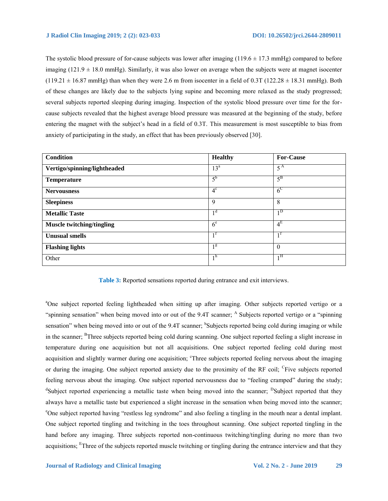The systolic blood pressure of for-cause subjects was lower after imaging  $(119.6 \pm 17.3 \text{ mmHg})$  compared to before imaging  $(121.9 \pm 18.0 \text{ mmHg})$ . Similarly, it was also lower on average when the subjects were at magnet isocenter  $(119.21 \pm 16.87 \text{ mmHg})$  than when they were 2.6 m from isocenter in a field of 0.3T  $(122.28 \pm 18.31 \text{ mmHg})$ . Both of these changes are likely due to the subjects lying supine and becoming more relaxed as the study progressed; several subjects reported sleeping during imaging. Inspection of the systolic blood pressure over time for the forcause subjects revealed that the highest average blood pressure was measured at the beginning of the study, before entering the magnet with the subject's head in a field of 0.3T. This measurement is most susceptible to bias from anxiety of participating in the study, an effect that has been previously observed [30].

| Condition                        | <b>Healthy</b>   | <b>For-Cause</b> |
|----------------------------------|------------------|------------------|
| Vertigo/spinning/lightheaded     | 13 <sup>a</sup>  | $5^{\rm A}$      |
| <b>Temperature</b>               | $5^{\rm b}$      | $5^{\rm B}$      |
| <b>Nervousness</b>               | $4^{\circ}$      | 6 <sup>C</sup>   |
| <b>Sleepiness</b>                | 9                | 8                |
| <b>Metallic Taste</b>            | 1 <sup>d</sup>   | $1^{\rm D}$      |
| <b>Muscle twitching/tingling</b> | 6 <sup>e</sup>   | $4^E$            |
| <b>Unusual smells</b>            | $1^{\mathrm{t}}$ | $1^{\text{t}}$   |
| <b>Flashing lights</b>           | 1 <sup>g</sup>   | $\theta$         |
| Other                            | 1 <sup>h</sup>   | $1^{\rm H}$      |

**Table 3:** Reported sensations reported during entrance and exit interviews.

<sup>a</sup>One subject reported feeling lightheaded when sitting up after imaging. Other subjects reported vertigo or a "spinning sensation" when being moved into or out of the 9.4T scanner; <sup>A</sup> Subjects reported vertigo or a "spinning sensation" when being moved into or out of the 9.4T scanner; <sup>b</sup>Subjects reported being cold during imaging or while in the scanner; <sup>B</sup>Three subjects reported being cold during scanning. One subject reported feeling a slight increase in temperature during one acquisition but not all acquisitions. One subject reported feeling cold during most acquisition and slightly warmer during one acquisition; <sup>c</sup>Three subjects reported feeling nervous about the imaging or during the imaging. One subject reported anxiety due to the proximity of the RF coil; <sup>C</sup>Five subjects reported feeling nervous about the imaging. One subject reported nervousness due to "feeling cramped" during the study; <sup>d</sup>Subject reported experiencing a metallic taste when being moved into the scanner; <sup>D</sup>Subject reported that they always have a metallic taste but experienced a slight increase in the sensation when being moved into the scanner; <sup>e</sup>One subject reported having "restless leg syndrome" and also feeling a tingling in the mouth near a dental implant. One subject reported tingling and twitching in the toes throughout scanning. One subject reported tingling in the hand before any imaging. Three subjects reported non-continuous twitching/tingling during no more than two acquisitions; <sup>E</sup>Three of the subjects reported muscle twitching or tingling during the entrance interview and that they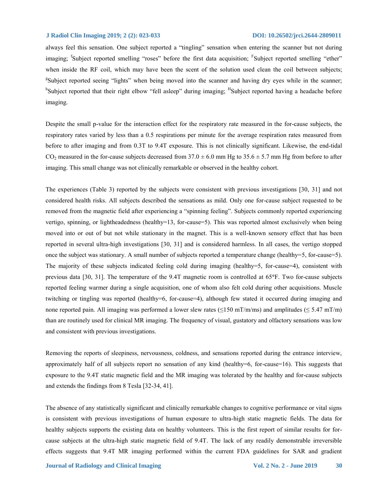always feel this sensation. One subject reported a "tingling" sensation when entering the scanner but not during imaging; <sup>f</sup>Subject reported smelling "roses" before the first data acquisition; <sup>F</sup>Subject reported smelling "ether" when inside the RF coil, which may have been the scent of the solution used clean the coil between subjects; <sup>g</sup>Subject reported seeing "lights" when being moved into the scanner and having dry eyes while in the scanner; <sup>h</sup>Subject reported that their right elbow "fell asleep" during imaging; <sup>H</sup>Subject reported having a headache before imaging.

Despite the small p-value for the interaction effect for the respiratory rate measured in the for-cause subjects, the respiratory rates varied by less than a 0.5 respirations per minute for the average respiration rates measured from before to after imaging and from 0.3T to 9.4T exposure. This is not clinically significant. Likewise, the end-tidal CO<sub>2</sub> measured in the for-cause subjects decreased from  $37.0 \pm 6.0$  mm Hg to  $35.6 \pm 5.7$  mm Hg from before to after imaging. This small change was not clinically remarkable or observed in the healthy cohort.

The experiences (Table 3) reported by the subjects were consistent with previous investigations [30, 31] and not considered health risks. All subjects described the sensations as mild. Only one for-cause subject requested to be removed from the magnetic field after experiencing a "spinning feeling". Subjects commonly reported experiencing vertigo, spinning, or lightheadedness (healthy=13, for-cause=5). This was reported almost exclusively when being moved into or out of but not while stationary in the magnet. This is a well-known sensory effect that has been reported in several ultra-high investigations [30, 31] and is considered harmless. In all cases, the vertigo stopped once the subject was stationary. A small number of subjects reported a temperature change (healthy=5, for-cause=5). The majority of these subjects indicated feeling cold during imaging (healthy=5, for-cause=4), consistent with previous data [30, 31]. The temperature of the 9.4T magnetic room is controlled at 65**°**F. Two for-cause subjects reported feeling warmer during a single acquisition, one of whom also felt cold during other acquisitions. Muscle twitching or tingling was reported (healthy=6, for-cause=4), although few stated it occurred during imaging and none reported pain. All imaging was performed a lower slew rates ( $\leq 150$  mT/m/ms) and amplitudes ( $\leq 5.47$  mT/m) than are routinely used for clinical MR imaging. The frequency of visual, gustatory and olfactory sensations was low and consistent with previous investigations.

Removing the reports of sleepiness, nervousness, coldness, and sensations reported during the entrance interview, approximately half of all subjects report no sensation of any kind (healthy=6, for-cause=16). This suggests that exposure to the 9.4T static magnetic field and the MR imaging was tolerated by the healthy and for-cause subjects and extends the findings from 8 Tesla [32-34, 41].

The absence of any statistically significant and clinically remarkable changes to cognitive performance or vital signs is consistent with previous investigations of human exposure to ultra-high static magnetic fields. The data for healthy subjects supports the existing data on healthy volunteers. This is the first report of similar results for forcause subjects at the ultra-high static magnetic field of 9.4T. The lack of any readily demonstrable irreversible effects suggests that 9.4T MR imaging performed within the current FDA guidelines for SAR and gradient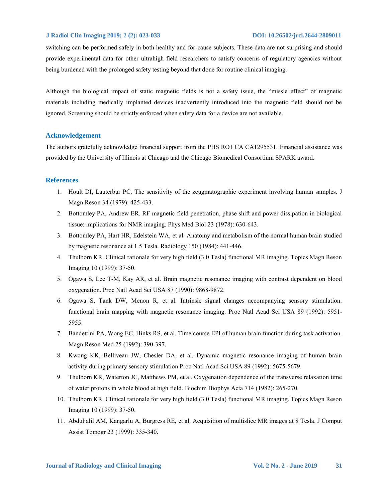switching can be performed safely in both healthy and for-cause subjects. These data are not surprising and should provide experimental data for other ultrahigh field researchers to satisfy concerns of regulatory agencies without being burdened with the prolonged safety testing beyond that done for routine clinical imaging.

Although the biological impact of static magnetic fields is not a safety issue, the "missle effect" of magnetic materials including medically implanted devices inadvertently introduced into the magnetic field should not be ignored. Screening should be strictly enforced when safety data for a device are not available.

# **Acknowledgement**

The authors gratefully acknowledge financial support from the PHS RO1 CA CA1295531. Financial assistance was provided by the University of Illinois at Chicago and the Chicago Biomedical Consortium SPARK award.

# **References**

- 1. Hoult DI, Lauterbur PC. The sensitivity of the zeugmatographic experiment involving human samples. J Magn Reson 34 (1979): 425-433.
- 2. Bottomley PA, Andrew ER. RF magnetic field penetration, phase shift and power dissipation in biological tissue: implications for NMR imaging. Phys Med Biol 23 (1978): 630-643.
- 3. Bottomley PA, Hart HR, Edelstein WA, et al. Anatomy and metabolism of the normal human brain studied by magnetic resonance at 1.5 Tesla. Radiology 150 (1984): 441-446.
- 4. Thulborn KR. Clinical rationale for very high field (3.0 Tesla) functional MR imaging. Topics Magn Reson Imaging 10 (1999): 37-50.
- 5. Ogawa S, Lee T-M, Kay AR, et al. Brain magnetic resonance imaging with contrast dependent on blood oxygenation. Proc Natl Acad Sci USA 87 (1990): 9868-9872.
- 6. Ogawa S, Tank DW, Menon R, et al. Intrinsic signal changes accompanying sensory stimulation: functional brain mapping with magnetic resonance imaging. Proc Natl Acad Sci USA 89 (1992): 5951- 5955.
- 7. Bandettini PA, Wong EC, Hinks RS, et al. Time course EPI of human brain function during task activation. Magn Reson Med 25 (1992): 390-397.
- 8. Kwong KK, Belliveau JW, Chesler DA, et al. Dynamic magnetic resonance imaging of human brain activity during primary sensory stimulation Proc Natl Acad Sci USA 89 (1992): 5675-5679.
- 9. Thulborn KR, Waterton JC, Matthews PM, et al. Oxygenation dependence of the transverse relaxation time of water protons in whole blood at high field. Biochim Biophys Acta 714 (1982): 265-270.
- 10. Thulborn KR. Clinical rationale for very high field (3.0 Tesla) functional MR imaging. Topics Magn Reson Imaging 10 (1999): 37-50.
- 11. Abduljalil AM, Kangarlu A, Burgress RE, et al. Acquisition of multislice MR images at 8 Tesla. J Comput Assist Tomogr 23 (1999): 335-340.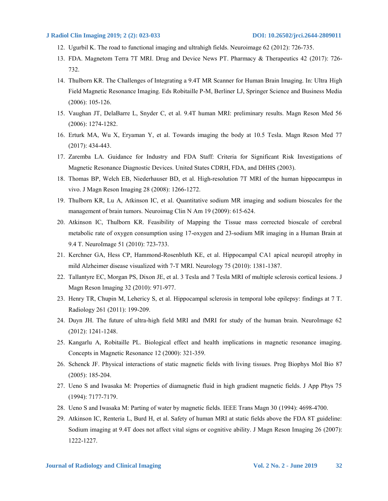- 12. Ugurbil K. The road to functional imaging and ultrahigh fields. Neuroimage 62 (2012): 726-735.
- 13. FDA. Magnetom Terra 7T MRI. Drug and Device News PT. Pharmacy & Therapeutics 42 (2017): 726- 732.
- 14. Thulborn KR. The Challenges of Integrating a 9.4T MR Scanner for Human Brain Imaging. In: Ultra High Field Magnetic Resonance Imaging. Eds Robitaille P-M, Berliner LJ, Springer Science and Business Media (2006): 105-126.
- 15. Vaughan JT, DelaBarre L, Snyder C, et al. 9.4T human MRI: preliminary results. Magn Reson Med 56 (2006): 1274-1282.
- 16. Erturk MA, Wu X, Eryaman Y, et al. Towards imaging the body at 10.5 Tesla. Magn Reson Med 77 (2017): 434-443.
- 17. Zaremba LA. Guidance for Industry and FDA Staff: Criteria for Significant Risk Investigations of Magnetic Resonance Diagnostic Devices. United States CDRH, FDA, and DHHS (2003).
- 18. Thomas BP, Welch EB, Niederhauser BD, et al. High-resolution 7T MRI of the human hippocampus in vivo. J Magn Reson Imaging 28 (2008): 1266-1272.
- 19. Thulborn KR, Lu A, Atkinson IC, et al. Quantitative sodium MR imaging and sodium bioscales for the management of brain tumors. Neuroimag Clin N Am 19 (2009): 615-624.
- 20. Atkinson IC, Thulborn KR. Feasibility of Mapping the Tissue mass corrected bioscale of cerebral metabolic rate of oxygen consumption using 17-oxygen and 23-sodium MR imaging in a Human Brain at 9.4 T. NeuroImage 51 (2010): 723-733.
- 21. Kerchner GA, Hess CP, Hammond-Rosenbluth KE, et al. Hippocampal CA1 apical neuropil atrophy in mild Alzheimer disease visualized with 7-T MRI. Neurology 75 (2010): 1381-1387.
- 22. Tallantyre EC, Morgan PS, Dixon JE, et al. 3 Tesla and 7 Tesla MRI of multiple sclerosis cortical lesions. J Magn Reson Imaging 32 (2010): 971-977.
- 23. Henry TR, Chupin M, Lehericy S, et al. Hippocampal sclerosis in temporal lobe epilepsy: findings at 7 T. Radiology 261 (2011): 199-209.
- 24. Duyn JH. The future of ultra-high field MRI and fMRI for study of the human brain. NeuroImage 62 (2012): 1241-1248.
- 25. Kangarlu A, Robitaille PL. Biological effect and health implications in magnetic resonance imaging. Concepts in Magnetic Resonance 12 (2000): 321-359.
- 26. Schenck JF. Physical interactions of static magnetic fields with living tissues. Prog Biophys Mol Bio 87 (2005): 185-204.
- 27. Ueno S and Iwasaka M: Properties of diamagnetic fluid in high gradient magnetic fields. J App Phys 75 (1994): 7177-7179.
- 28. Ueno S and Iwasaka M: Parting of water by magnetic fields. IEEE Trans Magn 30 (1994): 4698-4700.
- 29. Atkinson IC, Renteria L, Burd H, et al. Safety of human MRI at static fields above the FDA 8T guideline: Sodium imaging at 9.4T does not affect vital signs or cognitive ability. J Magn Reson Imaging 26 (2007): 1222-1227.